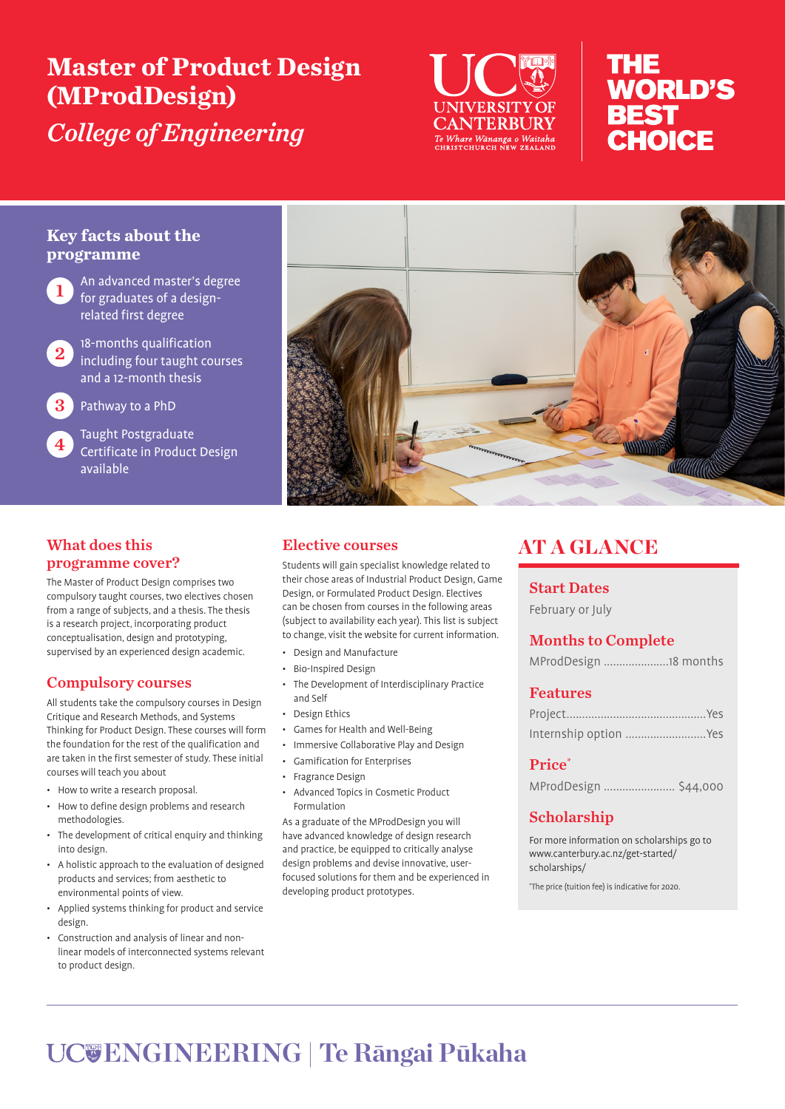# **Master of Product Design (MProdDesign)**  *College of Engineering*



# THE **WORLD'S BEST** CHOICE

### **Key facts about the programme**

An advanced master's degree for graduates of a designrelated first degree

2 18-months qualification including four taught courses and a 12-month thesis

3 Pathway to a PhD

**Taught Postgraduate** Certificate in Product Design available

# What does this programme cover?

The Master of Product Design comprises two compulsory taught courses, two electives chosen from a range of subjects, and a thesis. The thesis is a research project, incorporating product conceptualisation, design and prototyping, supervised by an experienced design academic.

# Compulsory courses

All students take the compulsory courses in Design Critique and Research Methods, and Systems Thinking for Product Design. These courses will form the foundation for the rest of the qualification and are taken in the first semester of study. These initial courses will teach you about

- How to write a research proposal.
- How to define design problems and research methodologies.
- The development of critical enquiry and thinking into design.
- A holistic approach to the evaluation of designed products and services; from aesthetic to environmental points of view.
- Applied systems thinking for product and service design.
- Construction and analysis of linear and nonlinear models of interconnected systems relevant to product design.



# Elective courses

Students will gain specialist knowledge related to their chose areas of Industrial Product Design, Game Design, or Formulated Product Design. Electives can be chosen from courses in the following areas (subject to availability each year). This list is subject to change, visit the website for current information.

- Design and Manufacture
- Bio-Inspired Design
- The Development of Interdisciplinary Practice and Self
- Design Ethics
- Games for Health and Well-Being
- Immersive Collaborative Play and Design
- Gamification for Enterprises
- Fragrance Design
- Advanced Topics in Cosmetic Product Formulation

As a graduate of the MProdDesign you will have advanced knowledge of design research and practice, be equipped to critically analyse design problems and devise innovative, userfocused solutions for them and be experienced in developing product prototypes.

# AT A GLANCE

#### Start Dates

February or July

## Months to Complete

|  |  | MProdDesign 18 months |  |
|--|--|-----------------------|--|
|--|--|-----------------------|--|

## Features

| Internship option Yes |  |
|-----------------------|--|

#### Price<sup>\*</sup>

# Scholarship

For more information on scholarships go to www.canterbury.ac.nz/get-started/ scholarships/

\* The price (tuition fee) is indicative for 2020.

# **ENGINEERING | Te Rāngai Pūkaha**